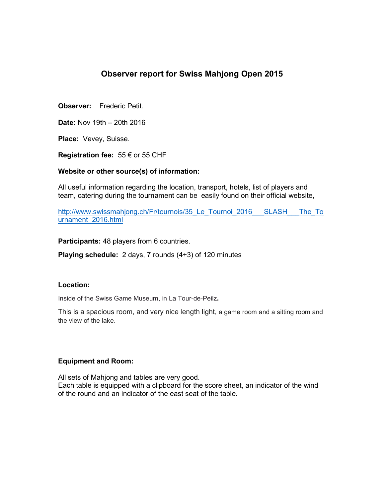# **Observer report for Swiss Mahjong Open 2015**

**Observer:** Frederic Petit.

**Date:** Nov 19th – 20th 2016

**Place:** Vevey, Suisse.

**Registration fee:** 55 € or 55 CHF

### **Website or other source(s) of information:**

All useful information regarding the location, transport, hotels, list of players and team, catering during the tournament can be easily found on their official website,

http://www.swissmahjong.ch/Fr/tournois/35 Le Tournoi 2016 SLASH The To urnament\_2016.html

**Participants:** 48 players from 6 countries.

**Playing schedule:** 2 days, 7 rounds (4+3) of 120 minutes

### **Location:**

Inside of the Swiss Game Museum, in La Tour-de-Peilz**.** 

This is a spacious room, and very nice length light, a game room and a sitting room and the view of the lake.

# **Equipment and Room:**

All sets of Mahjong and tables are very good. Each table is equipped with a clipboard for the score sheet, an indicator of the wind of the round and an indicator of the east seat of the table.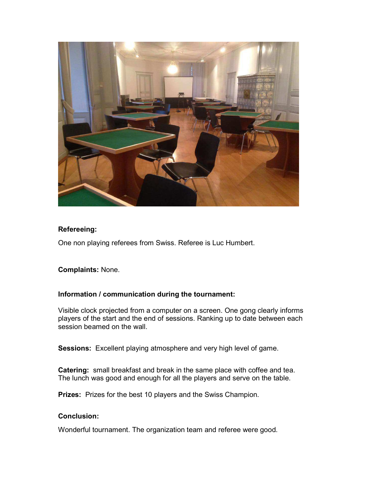

# **Refereeing:**

One non playing referees from Swiss. Referee is Luc Humbert.

# **Complaints:** None.

# **Information / communication during the tournament:**

Visible clock projected from a computer on a screen. One gong clearly informs players of the start and the end of sessions. Ranking up to date between each session beamed on the wall.

**Sessions:** Excellent playing atmosphere and very high level of game.

**Catering:** small breakfast and break in the same place with coffee and tea. The lunch was good and enough for all the players and serve on the table.

**Prizes:** Prizes for the best 10 players and the Swiss Champion.

# **Conclusion:**

Wonderful tournament. The organization team and referee were good.